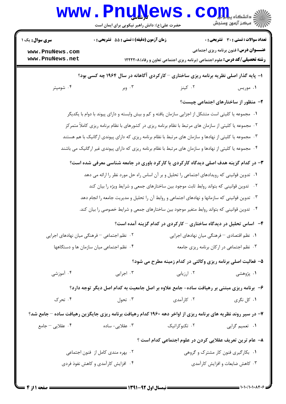|                                                                                                               | www.PnuNews<br>حضرت علی(ع): دانش راهبر نیکویی برای ایمان است                                             |                                                                                   | الله دانشگاه پیاه دارا<br>۱۳۸۸ - مرکز آزمون وسنجش |  |  |
|---------------------------------------------------------------------------------------------------------------|----------------------------------------------------------------------------------------------------------|-----------------------------------------------------------------------------------|---------------------------------------------------|--|--|
| <b>سری سوال :</b> یک ۱                                                                                        | زمان آزمون (دقیقه) : تستی : 55 تشریحی : 0                                                                |                                                                                   | تعداد سوالات : تستي : 30 - تشريحي : 0             |  |  |
| www.PnuNews.com<br>www.PnuNews.net                                                                            |                                                                                                          | <b>رشته تحصیلی/کد درس:</b> علوم اجتماعی (برنامه ریزی اجتماعی تعاون و رفاه)۱۲۲۲۲۰۸ | <b>عنـــوان درس:</b> فنون برنامه ریزی اجتماعی     |  |  |
| ۱- پایه گذار اصلی نظریه برنامه ریزی ساختاری - کارکردی آگاهانه در سال ۱۹۶۴ چه کسی بود؟                         |                                                                                                          |                                                                                   |                                                   |  |  |
| ۰۴ شومپتر                                                                                                     | ۰۳ وبر                                                                                                   | ۰۲ کینز                                                                           | ۰۱ موریس                                          |  |  |
|                                                                                                               |                                                                                                          |                                                                                   | ۲- منظور از ساختارهای اجتماعی چیست؟               |  |  |
|                                                                                                               | ۰۱ مجموعه یا کلیتی است متشکل از اجزایی سازمان یافته و کم و بیش وابسته و دارای پیوند با دوام با یکدیگر    |                                                                                   |                                                   |  |  |
|                                                                                                               | ۰۲ مجموعه یا کلیتی از سازمان های مرتبط با نظام برنامه ریزی در کشورهای با نظام برنامه ریزی کاملاً متمرکز  |                                                                                   |                                                   |  |  |
|                                                                                                               | ۰۳ مجموعه یا کلیتی از نهادها و سازمان های مرتبط با نظام برنامه ریزی که دارای پیوندی ارگانیک با هم هستند  |                                                                                   |                                                   |  |  |
|                                                                                                               | ۰۴ مجموعه یا کلیتی از نهادها و سازمان های مرتبط با نظام برنامه ریزی که دارای پیوندی غیر ارگانیک می باشند |                                                                                   |                                                   |  |  |
|                                                                                                               | ۳- در کدام گزینه هدف اصلی دیدگاه کارکردی یا کارکرد باوری در جامعه شناسی معرفی شده است؟                   |                                                                                   |                                                   |  |  |
|                                                                                                               | ۰۱ تدوین قوانینی که رویدادهای اجتماعی را تحلیل و بر آن اساس راه حل مورد نظر را ارائه می دهد              |                                                                                   |                                                   |  |  |
|                                                                                                               | ۰۲ تدوین قوانینی که بتواند روابط ثابت موجود بین ساختارهای جمعی و شرایط ویژه را بیان کند                  |                                                                                   |                                                   |  |  |
|                                                                                                               | ۰۳ تدوین قوانینی که سازمانها و نهادهای اجتماعی و روابط آن را تحلیل و مدیریت جامعه را انجام دهد           |                                                                                   |                                                   |  |  |
|                                                                                                               | ۰۴ تدوین قوانینی که بتواند روابط متغیر موجود بین ساختارهای جمعی و شرایط خصوصی را بیان کند.               |                                                                                   |                                                   |  |  |
|                                                                                                               |                                                                                                          | ۴- اساس تحلیل در دیدگاه ساختاری – کارکردی در کدام گزینه آمده است؟                 |                                                   |  |  |
|                                                                                                               | ۰۱ نظم اقتصادی – فرهنگی میان نهادهای اجرایی<br>۰۲ نظم اجتماعی – فرهنگی میان نهادهای اجرایی               |                                                                                   |                                                   |  |  |
| ۰۳ نظم اجتماعی در ارکان برنامه ریزی جامعه<br>۰۴ نظم اجتماعی میان سازمان ها و دستگاهها                         |                                                                                                          |                                                                                   |                                                   |  |  |
|                                                                                                               |                                                                                                          | ۵- فعالیت اصلی برنامه ریزی وکالتی در کدام زمینه مطرح می شود؟                      |                                                   |  |  |
| ۰۴ آموزشی                                                                                                     | ۰۳ اجرایی                                                                                                | ۰۲ ارزیابی                                                                        | ۰۱ پژوهشی                                         |  |  |
|                                                                                                               | ۶- برنامه ریزی مبتنی بر رهیافت ساده- جامع علاوه بر اصل جامعیت به کدام اصل دیگر توجه دارد؟                |                                                                                   |                                                   |  |  |
| ۰۴ تحرک                                                                                                       | ۰۳ تحول                                                                                                  | ۰۲ کارآمدی                                                                        | ۱. کل نگری                                        |  |  |
| ۷- در سیر روند نظریه های برنامه ریزی از اواخر دهه ۱۹۶۰ کدام رهیافت برنامه ریزی جایگزین رهیافت ساده – جامع شد؟ |                                                                                                          |                                                                                   |                                                   |  |  |
| ۰۴ عقلایی – جامع                                                                                              | ۰۳ عقلایی- ساده                                                                                          | ۰۲ تکنوکراتیک                                                                     | ۰۱ تعمیم گرایی                                    |  |  |
|                                                                                                               |                                                                                                          | ۸– عام ترین تعریف عقلایی کردن در علوم اجتماعی کدام است ؟                          |                                                   |  |  |
| ۰۱ بکارگیری فنون کار مشترک و گروهی<br>۰۲ بهره مندی کامل از فنون اجتماعی                                       |                                                                                                          |                                                                                   |                                                   |  |  |
| ۰۴ افزایش کارآمدی و کاهش نفوذ فردی                                                                            |                                                                                                          |                                                                                   | ۰۳ کاهش ضایعات و افزایش کارآمدی                   |  |  |
|                                                                                                               |                                                                                                          |                                                                                   |                                                   |  |  |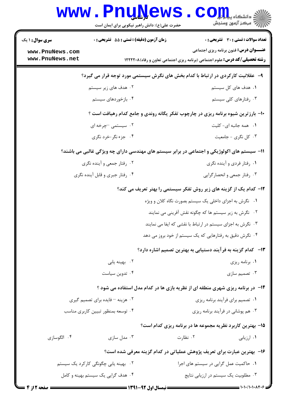|                                  | www.PnuNews<br>حضرت علی(ع): دانش راهبر نیکویی برای ایمان است |          | ز دانشگاه پیام <mark>بر</mark><br>رآ - مرڪز آزمون وسنڊش                                    |  |
|----------------------------------|--------------------------------------------------------------|----------|--------------------------------------------------------------------------------------------|--|
| <b>سری سوال : ۱ یک</b>           | <b>زمان آزمون (دقیقه) : تستی : 55 تشریحی : 0</b>             |          | تعداد سوالات : تستى : 30 - تشريحي : 0                                                      |  |
| www.PnuNews.com                  |                                                              |          | <b>عنـــوان درس:</b> فنون برنامه ریزی اجتماعی                                              |  |
| www.PnuNews.net                  |                                                              |          | <b>رشته تحصیلی/کد درس:</b> علوم اجتماعی (برنامه ریزی اجتماعی تعاون و رفاه)۱۲۲۲۲۰۸          |  |
|                                  |                                                              |          | ۹- عقلانیت کارکردی در ارتباط با کدام بخش های نگرش سیستمی مورد توجه قرار می گیرد؟           |  |
|                                  | ۰۲ هدف های زیر سیستم                                         |          | ۰۱ هدف های کل سیستم                                                                        |  |
|                                  | ۰۴ بازخوردهای سیستم                                          |          | ۰۳ رفتارهای کلی سیستم                                                                      |  |
|                                  |                                                              |          | ۱۰− بارزترین شیوه برنامه ریزی در چارچوب تفکر یگانه روندی و جامع کدام رهیافت است ؟          |  |
|                                  | ۰۲ سیستمی -چرخه ای                                           |          | ۰۱ همه جانبه ای- کلیت                                                                      |  |
|                                  | ۰۴ جزء نگر-خرد نگري                                          |          | ۰۳ کل نگری - جامعیت                                                                        |  |
|                                  |                                                              |          | 11- سیستم های اکولوژیکی و اجتماعی در برابر سیستم های مهندسی دارای چه ویژگی غالبی می باشند؟ |  |
|                                  | ۰۲ رفتار جمعی و آینده نگری                                   |          | ۰۱ رفتار فردي و آينده نگري                                                                 |  |
|                                  | ۰۴ رفتار جبري و قابل آينده نگري                              |          | ۰۳ رفتار جمعی و انحصار گرایی                                                               |  |
|                                  |                                                              |          | <b>۱۲</b> - کدام یک از گزینه های زیر روش تفکر سیستمی را بهتر تعریف می کند؟                 |  |
|                                  |                                                              |          | ۰۱ نگرش به اجزای داخلی یک سیستم بصورت نگاه کلان و ویژه                                     |  |
|                                  |                                                              |          | ۰۲ نگرش به زیر سیستم ها که چگونه نقش آفرینی می نمایند                                      |  |
|                                  |                                                              |          | ۰۳ نگرش به اجزای سیستم در ارتباط با نقشی که ایفا می نمایند                                 |  |
|                                  |                                                              |          | ۰۴ نگرش دقیق به رفتارهایی که یک سیستم از خود بروز می دهد                                   |  |
|                                  |                                                              |          | ۱۳– کدام گزینه به فرآیند دستیابی به بهترین تصمیم اشاره دارد؟                               |  |
|                                  | ۰۲ بهينه يابي                                                |          | ۰۱ برنامه ریزی                                                                             |  |
|                                  | ۰۴ تدوین سیاست                                               |          | ۰۳ تصمیم سازی                                                                              |  |
|                                  |                                                              |          | ۱۴- در برنامه ریزی شهری منطقه ای از نظریه بازی ها در کدام مدل استفاده می شود ؟             |  |
| ۰۲ هزینه – فایده برای تصمیم گیری |                                                              |          | ۰۱ تصمیم برای فرأیند برنامه ریزی                                                           |  |
|                                  | ۰۴ توسعه بمنظور تبيين كاربرى مناسب                           |          | ۰۳ هم پوشانی در فرآیند برنامه ریزی                                                         |  |
|                                  |                                                              |          | ۱۵– بهترین کاربرد نظریه مجموعه ها در برنامه ریزی کدام است؟                                 |  |
| ۰۴ الگوسازی                      | ۰۳ مدل سازی                                                  | ۰۲ نظارت | ۰۱ ارزیابی                                                                                 |  |
|                                  |                                                              |          | ۱۶- بهترین عبارت برای تعریف پژوهش عملیاتی در کدام گزینه معرفی شده است؟                     |  |
|                                  | ۰۲ بهینه یابی چگونگی کارکرد یک سیستم                         |          | ٠١. حاكميت عمل گرايي در سيستم هاي اجرا                                                     |  |
|                                  | ۰۴ هدف گرایی یک سیستم بهینه و کامل                           |          | ۰۳ مطلوبیت یک سیستم در ارزیابی نتایج                                                       |  |
|                                  |                                                              |          |                                                                                            |  |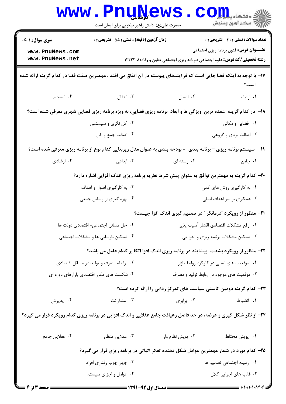|                                                                                                                     | <b>www.PnuNews</b><br>حضرت علی(ع): دانش راهبر نیکویی برای ایمان است                                                   |                                                                                   | الله دانشکاه پیاه بار<br>الله عرکز آزمون وسنجش                                                                                                                                                                                                                                                                                                                                                                       |  |
|---------------------------------------------------------------------------------------------------------------------|-----------------------------------------------------------------------------------------------------------------------|-----------------------------------------------------------------------------------|----------------------------------------------------------------------------------------------------------------------------------------------------------------------------------------------------------------------------------------------------------------------------------------------------------------------------------------------------------------------------------------------------------------------|--|
| <b>سری سوال : ۱ یک</b>                                                                                              | زمان آزمون (دقیقه) : تستی : 55 آتشریحی : 0                                                                            |                                                                                   | <b>تعداد سوالات : تستی : 30 ٪ تشریحی : 0</b>                                                                                                                                                                                                                                                                                                                                                                         |  |
| www.PnuNews.com<br>www.PnuNews.net                                                                                  |                                                                                                                       |                                                                                   | <b>عنـــوان درس:</b> فنون برنامه ریزی اجتماعی                                                                                                                                                                                                                                                                                                                                                                        |  |
|                                                                                                                     |                                                                                                                       | <b>رشته تحصیلی/کد درس:</b> علوم اجتماعی (برنامه ریزی اجتماعی تعاون و رفاه)۱۲۲۲۲۰۸ |                                                                                                                                                                                                                                                                                                                                                                                                                      |  |
| ۱۷– با توجه به اینکه فضا جایی است که فرآیندهای پیوسته در آن اتفاق می افتد ، مهمترین صفت فضا در کدام گزینه ارائه شده |                                                                                                                       |                                                                                   | است؟                                                                                                                                                                                                                                                                                                                                                                                                                 |  |
| ۰۴ انسجام                                                                                                           | انتقال $\cdot$ ۳ .                                                                                                    | ۰۲ اتصال                                                                          | ٠١ ارتباط                                                                                                                                                                                                                                                                                                                                                                                                            |  |
|                                                                                                                     | <b>۱۸</b> - در کدام گزینه عمده ترین ویژگی ها و ابعاد برنامه ریزی فضایی، به ویژه برنامه ریزی فضایی شهری معرفی شده است؟ |                                                                                   |                                                                                                                                                                                                                                                                                                                                                                                                                      |  |
|                                                                                                                     | ۰۲ کل نگری و سیستمی                                                                                                   |                                                                                   | ٠١. فضايي و مكاني                                                                                                                                                                                                                                                                                                                                                                                                    |  |
|                                                                                                                     | ۰۴ اصالت جمع و کل                                                                                                     |                                                                                   | ۰۳ اصالت فردی و گروهی                                                                                                                                                                                                                                                                                                                                                                                                |  |
| ۱۹- سیستم برنامه ریزی –برنامه بندی ً - بودجه بندی به عنوان مدل زیربنایی کدام نوع از برنامه ریزی معرفی شده است؟      |                                                                                                                       |                                                                                   |                                                                                                                                                                                                                                                                                                                                                                                                                      |  |
| ۰۴ ارشادی                                                                                                           | ۰۳ ابداعی                                                                                                             | ۰۲ رسته ای                                                                        | ۰۱ جامع                                                                                                                                                                                                                                                                                                                                                                                                              |  |
|                                                                                                                     | ۲۰– کدام گزینه به مهمترین توافق به عنوان پیش شرط نظریه برنامه ریزی اندک افزایی اشاره دارد؟                            |                                                                                   |                                                                                                                                                                                                                                                                                                                                                                                                                      |  |
|                                                                                                                     | ۰۲ به کارگیری اصول و اهداف                                                                                            |                                                                                   | ۰۱ به کارگیری روش های کمی                                                                                                                                                                                                                                                                                                                                                                                            |  |
|                                                                                                                     | ۰۴ بهره گیری از وسایل جمعی<br>۰۳ همکاری بر سر اهداف اصلی                                                              |                                                                                   |                                                                                                                                                                                                                                                                                                                                                                                                                      |  |
|                                                                                                                     |                                                                                                                       | <b>۲۱</b> - منظور از رویکرد "درمانگر " در تصمیم گیری اندک افزا چیست؟              |                                                                                                                                                                                                                                                                                                                                                                                                                      |  |
| ٢. حل مسائل اجتماعي- اقتصادي دولت ها                                                                                |                                                                                                                       | ٠١. رفع مشكلات اقتصادي اقشار آسيب پذير                                            |                                                                                                                                                                                                                                                                                                                                                                                                                      |  |
| ۰۴ تسکین نارسایی ها و مشکلات اجتماعی                                                                                |                                                                                                                       | ۰۳ تسکین مشکلات برنامه ریزی و اجرا یی                                             |                                                                                                                                                                                                                                                                                                                                                                                                                      |  |
|                                                                                                                     | ۲۲- منظور از رویکرد بشدت پیشایند در برنامه ریزی اندک افزا اتکا بر کدام عامل می باشد؟                                  |                                                                                   |                                                                                                                                                                                                                                                                                                                                                                                                                      |  |
| ۰۲ رابطه مصرف و تولید در مسائل اقتصادی                                                                              |                                                                                                                       | ٠١ موقعيت هاي نسبي در كاركرد روابط بازار                                          |                                                                                                                                                                                                                                                                                                                                                                                                                      |  |
|                                                                                                                     | ۰۴ شکست های مکرر اقتصادی بازارهای دوره ای<br>۰۳ موفقیت های موجود در روابط تولید و مصرف                                |                                                                                   |                                                                                                                                                                                                                                                                                                                                                                                                                      |  |
|                                                                                                                     |                                                                                                                       | ۲۳– کدام گزینه دومین کاستی سیاست های تمرکز زدایی را ارائه کرده است؟               |                                                                                                                                                                                                                                                                                                                                                                                                                      |  |
| ۰۴ پذیرش                                                                                                            | ۰۳ مشارکت                                                                                                             | ۰۲ برابری                                                                         | ٠١. انضباط                                                                                                                                                                                                                                                                                                                                                                                                           |  |
| ۲۴- از نظر شکل گیری و عرضه، در حد فاصل رهیافت جامع عقلایی و اندک افزایی در برنامه ریزی کدام رویکرد قرار می گیرد؟    |                                                                                                                       |                                                                                   |                                                                                                                                                                                                                                                                                                                                                                                                                      |  |
| ۰۴ عقلایی جامع                                                                                                      | ۰۳ عقلایی منظم                                                                                                        | ۰۲ پویش نظام وار                                                                  | ٠١. پويش مختلط                                                                                                                                                                                                                                                                                                                                                                                                       |  |
| ۲۵– کدام مورد در شمار مهمترین عوامل شکل دهنده تفکر اثباتی در برنامه ریزی قرار می گیرد؟                              |                                                                                                                       |                                                                                   |                                                                                                                                                                                                                                                                                                                                                                                                                      |  |
| ۰۲ چهار چوب رفتاری افراد                                                                                            |                                                                                                                       | ۰۱ زمینه اجتماعی تصمیم ها                                                         |                                                                                                                                                                                                                                                                                                                                                                                                                      |  |
|                                                                                                                     | ۰۴ عوامل و اجزای سیستم                                                                                                |                                                                                   | ۰۳ قالب های اجرایی کلان                                                                                                                                                                                                                                                                                                                                                                                              |  |
| <b>صفحه 3 از 4 =</b>                                                                                                |                                                                                                                       |                                                                                   | $\frac{1}{\sqrt{1-\frac{1}{2}}\sqrt{1-\frac{1}{2}}\sqrt{1-\frac{1}{2}}\sqrt{1-\frac{1}{2}}\sqrt{1-\frac{1}{2}}\sqrt{1-\frac{1}{2}}\sqrt{1-\frac{1}{2}}\sqrt{1-\frac{1}{2}}\sqrt{1-\frac{1}{2}}\sqrt{1-\frac{1}{2}}\sqrt{1-\frac{1}{2}}\sqrt{1-\frac{1}{2}}\sqrt{1-\frac{1}{2}}\sqrt{1-\frac{1}{2}}\sqrt{1-\frac{1}{2}}\sqrt{1-\frac{1}{2}}\sqrt{1-\frac{1}{2}}\sqrt{1-\frac{1}{2}}\sqrt{1-\frac{1}{2}}\sqrt{1-\frac$ |  |